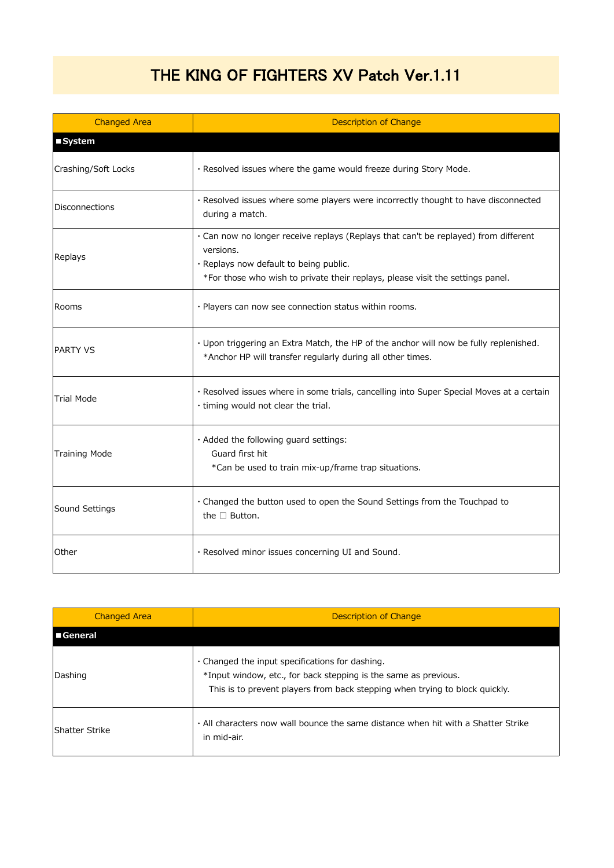## THE KING OF FIGHTERS XV Patch Ver.1.11

| <b>Changed Area</b>   | <b>Description of Change</b>                                                                                                                                                                                                 |
|-----------------------|------------------------------------------------------------------------------------------------------------------------------------------------------------------------------------------------------------------------------|
| ■ System              |                                                                                                                                                                                                                              |
| Crashing/Soft Locks   | · Resolved issues where the game would freeze during Story Mode.                                                                                                                                                             |
| <b>Disconnections</b> | · Resolved issues where some players were incorrectly thought to have disconnected<br>during a match.                                                                                                                        |
| Replays               | . Can now no longer receive replays (Replays that can't be replayed) from different<br>versions.<br>· Replays now default to being public.<br>*For those who wish to private their replays, please visit the settings panel. |
| Rooms                 | · Players can now see connection status within rooms.                                                                                                                                                                        |
| <b>PARTY VS</b>       | · Upon triggering an Extra Match, the HP of the anchor will now be fully replenished.<br>*Anchor HP will transfer regularly during all other times.                                                                          |
| <b>Trial Mode</b>     | · Resolved issues where in some trials, cancelling into Super Special Moves at a certain<br>· timing would not clear the trial.                                                                                              |
| <b>Training Mode</b>  | · Added the following guard settings:<br>Guard first hit<br>*Can be used to train mix-up/frame trap situations.                                                                                                              |
| Sound Settings        | . Changed the button used to open the Sound Settings from the Touchpad to<br>the $\Box$ Button.                                                                                                                              |
| Other                 | · Resolved minor issues concerning UI and Sound.                                                                                                                                                                             |

| <b>Changed Area</b> | Description of Change                                                                                                                                                                                   |
|---------------------|---------------------------------------------------------------------------------------------------------------------------------------------------------------------------------------------------------|
| <b>■General</b>     |                                                                                                                                                                                                         |
| Dashing             | $\cdot$ Changed the input specifications for dashing.<br>*Input window, etc., for back stepping is the same as previous.<br>This is to prevent players from back stepping when trying to block quickly. |
| lShatter Strike     | . All characters now wall bounce the same distance when hit with a Shatter Strike<br>in mid-air.                                                                                                        |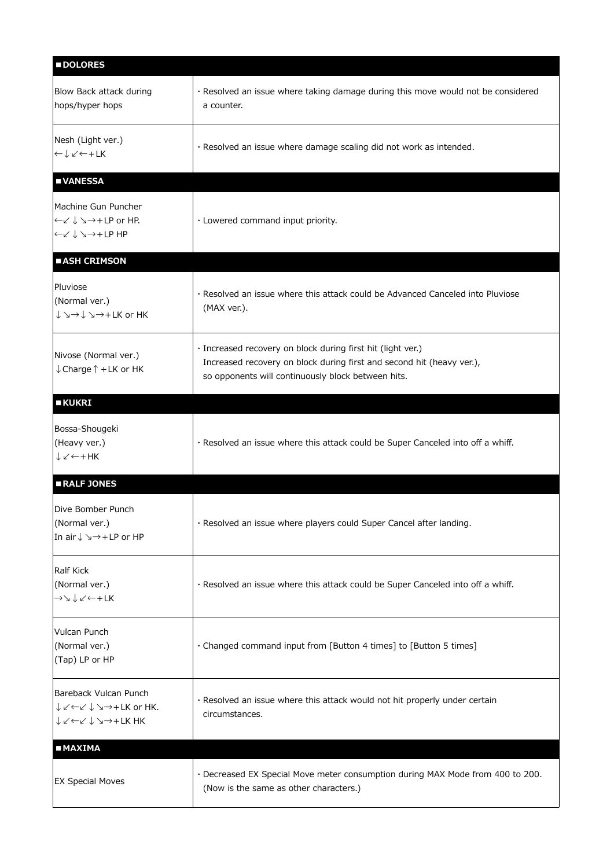| <b>DOLORES</b>                                                                                                                                                                                                         |                                                                                                                                                                                            |
|------------------------------------------------------------------------------------------------------------------------------------------------------------------------------------------------------------------------|--------------------------------------------------------------------------------------------------------------------------------------------------------------------------------------------|
| Blow Back attack during<br>hops/hyper hops                                                                                                                                                                             | · Resolved an issue where taking damage during this move would not be considered<br>a counter.                                                                                             |
| Nesh (Light ver.)<br>$\leftarrow \downarrow \swarrow \leftarrow +LK$                                                                                                                                                   | · Resolved an issue where damage scaling did not work as intended.                                                                                                                         |
| <b>UNANESSA</b>                                                                                                                                                                                                        |                                                                                                                                                                                            |
| Machine Gun Puncher<br>├←∠ ↓ ↘→+LP or HP.<br>├←∠ ↓ ↘→+LP HP                                                                                                                                                            | · Lowered command input priority.                                                                                                                                                          |
| <b>BASH CRIMSON</b>                                                                                                                                                                                                    |                                                                                                                                                                                            |
| Pluviose<br>(Normal ver.)<br>$\downarrow$ $\searrow$ $\rightarrow$ $\downarrow$ $\searrow$ $\rightarrow$ + LK or HK                                                                                                    | · Resolved an issue where this attack could be Advanced Canceled into Pluviose<br>(MAX ver.).                                                                                              |
| Nivose (Normal ver.)<br>↓ Charge ↑ + LK or HK                                                                                                                                                                          | · Increased recovery on block during first hit (light ver.)<br>Increased recovery on block during first and second hit (heavy ver.),<br>so opponents will continuously block between hits. |
| <b>EKUKRI</b>                                                                                                                                                                                                          |                                                                                                                                                                                            |
| Bossa-Shougeki<br>(Heavy ver.)<br>$\downarrow$ $\swarrow$ $\leftarrow$ + HK                                                                                                                                            | · Resolved an issue where this attack could be Super Canceled into off a whiff.                                                                                                            |
| RALF JONES                                                                                                                                                                                                             |                                                                                                                                                                                            |
| Dive Bomber Punch<br>(Normal ver.)<br>In air↓ >→+LP or HP                                                                                                                                                              | · Resolved an issue where players could Super Cancel after landing.                                                                                                                        |
| Ralf Kick<br>(Normal ver.)<br>→ ↘ ↓∠ ← + LK                                                                                                                                                                            | · Resolved an issue where this attack could be Super Canceled into off a whiff.                                                                                                            |
| Vulcan Punch<br>(Normal ver.)<br>(Tap) LP or HP                                                                                                                                                                        | · Changed command input from [Button 4 times] to [Button 5 times]                                                                                                                          |
| Bareback Vulcan Punch<br>$\downarrow$ $\swarrow$ $\leftarrow$ $\swarrow$ $\downarrow$ $\searrow$ $\rightarrow$ + LK or HK.<br>$\downarrow \swarrow \leftarrow \swarrow \downarrow \searrow \rightarrow + \text{LK HK}$ | · Resolved an issue where this attack would not hit properly under certain<br>circumstances.                                                                                               |
| <b>MAXIMA</b>                                                                                                                                                                                                          |                                                                                                                                                                                            |
| <b>EX Special Moves</b>                                                                                                                                                                                                | · Decreased EX Special Move meter consumption during MAX Mode from 400 to 200.<br>(Now is the same as other characters.)                                                                   |